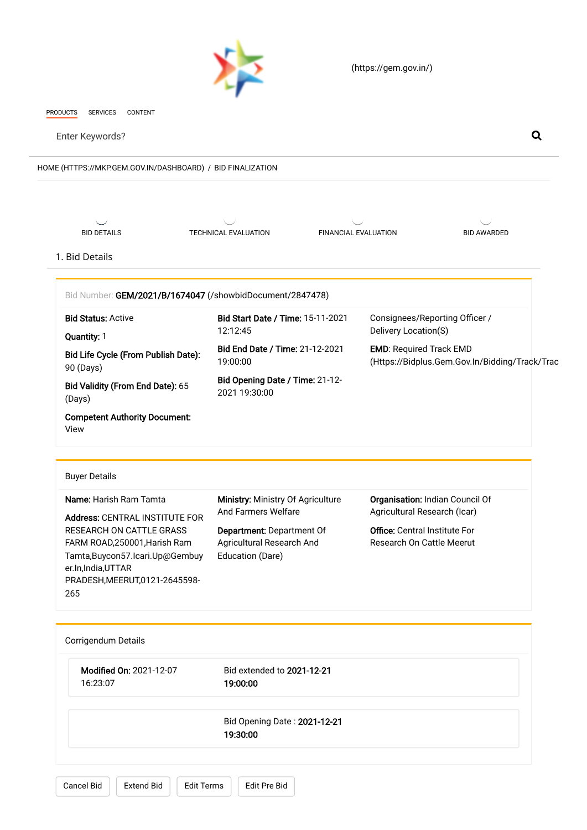

l,

 [\(https://gem.gov.in/\)](https://gem.gov.in/)

<span id="page-0-0"></span>

| HOME (HTTPS://MKP.GEM.GOV.IN/DASHBOARD) / BID FINALIZATION                                                                                                                                      |                                                                            |                                      |                                                                                  |  |
|-------------------------------------------------------------------------------------------------------------------------------------------------------------------------------------------------|----------------------------------------------------------------------------|--------------------------------------|----------------------------------------------------------------------------------|--|
| <b>BID DETAILS</b>                                                                                                                                                                              | TECHNICAL EVALUATION                                                       | <b>FINANCIAL EVALUATION</b>          | <b>BID AWARDED</b>                                                               |  |
| 1. Bid Details                                                                                                                                                                                  |                                                                            |                                      |                                                                                  |  |
| Bid Number: GEM/2021/B/1674047 (/showbidDocument/2847478)<br><b>Bid Status: Active</b>                                                                                                          | Bid Start Date / Time: 15-11-2021<br>12:12:45                              | Delivery Location(S)                 | Consignees/Reporting Officer /                                                   |  |
| Quantity: 1<br>Bid Life Cycle (From Publish Date):<br>90 (Days)                                                                                                                                 | Bid End Date / Time: 21-12-2021<br>19:00:00                                |                                      | <b>EMD: Required Track EMD</b><br>(Https://Bidplus.Gem.Gov.In/Bidding/Track/Trac |  |
| Bid Validity (From End Date): 65<br>(Days)                                                                                                                                                      | Bid Opening Date / Time: 21-12-<br>2021 19:30:00                           |                                      |                                                                                  |  |
| <b>Competent Authority Document:</b><br>View                                                                                                                                                    |                                                                            |                                      |                                                                                  |  |
| <b>Buyer Details</b>                                                                                                                                                                            |                                                                            |                                      |                                                                                  |  |
| Name: Harish Ram Tamta                                                                                                                                                                          | Ministry: Ministry Of Agriculture<br>And Farmers Welfare                   |                                      | Organisation: Indian Council Of<br>Agricultural Research (Icar)                  |  |
| Address: CENTRAL INSTITUTE FOR<br>RESEARCH ON CATTLE GRASS<br>FARM ROAD, 250001, Harish Ram<br>Tamta, Buycon 57. Icari. Up@Gembuy<br>er.In,India,UTTAR<br>PRADESH, MEERUT, 0121-2645598-<br>265 | Department: Department Of<br>Agricultural Research And<br>Education (Dare) | <b>Office: Central Institute For</b> | Research On Cattle Meerut                                                        |  |
| Corrigendum Details                                                                                                                                                                             |                                                                            |                                      |                                                                                  |  |
| Modified On: 2021-12-07<br>16:23:07                                                                                                                                                             | Bid extended to 2021-12-21<br>19:00:00                                     |                                      |                                                                                  |  |
|                                                                                                                                                                                                 | Bid Opening Date: 2021-12-21<br>19:30:00                                   |                                      |                                                                                  |  |